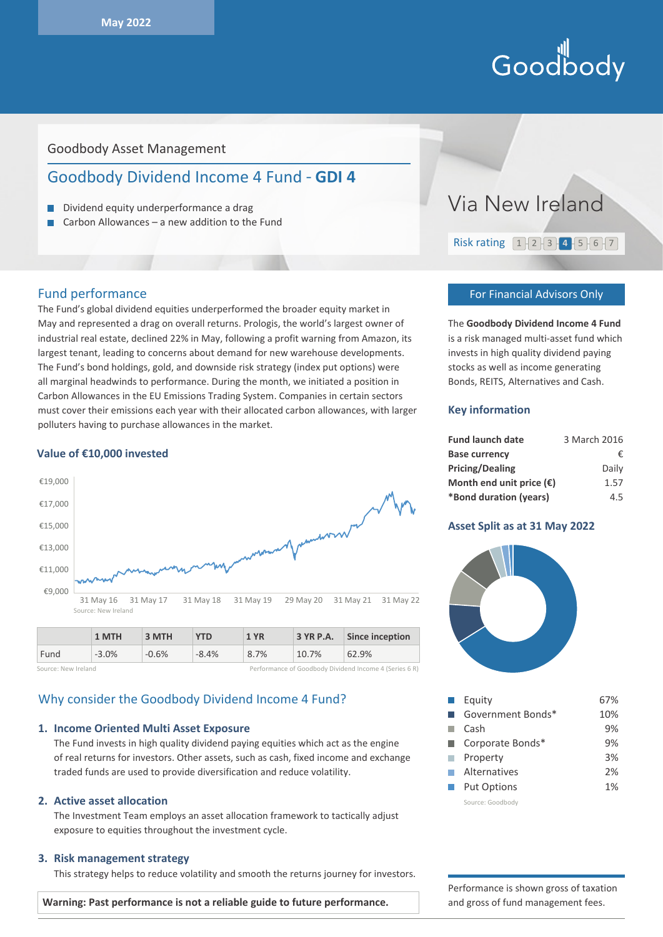# Hill<br>Goodbody

# Goodbody Asset Management

# Goodbody Dividend Income 4 Fund - **GDI 4**

- Dividend equity underperformance a drag
- Carbon Allowances a new addition to the Fund п

## Fund performance

The Fund's global dividend equities underperformed the broader equity market in May and represented a drag on overall returns. Prologis, the world's largest owner of industrial real estate, declined 22% in May, following a profit warning from Amazon, its largest tenant, leading to concerns about demand for new warehouse developments. The Fund's bond holdings, gold, and downside risk strategy (index put options) were all marginal headwinds to performance. During the month, we initiated a position in Carbon Allowances in the EU Emissions Trading System. Companies in certain sectors must cover their emissions each year with their allocated carbon allowances, with larger polluters having to purchase allowances in the market.

#### **Value of €10,000 invested**



|                     | 1 M I H  | 3 M IH  | YID     | 1 YR |       | $\overline{3}$ YR P.A. $\overline{3}$ since inception  |
|---------------------|----------|---------|---------|------|-------|--------------------------------------------------------|
| Fund                | $-3.0\%$ | $-0.6%$ | $-8.4%$ | 8.7% | 10.7% | 62.9%                                                  |
| Source: New Ireland |          |         |         |      |       | Performance of Goodbody Dividend Income 4 (Series 6 R) |

# Why consider the Goodbody Dividend Income 4 Fund?

#### **1. Income Oriented Multi Asset Exposure**

The Fund invests in high quality dividend paying equities which act as the engine of real returns for investors. Other assets, such as cash, fixed income and exchange traded funds are used to provide diversification and reduce volatility.

#### **2. Active asset allocation**

The Investment Team employs an asset allocation framework to tactically adjust exposure to equities throughout the investment cycle.

#### **3. Risk management strategy**

This strategy helps to reduce volatility and smooth the returns journey for investors.



#### For Financial Advisors Only

The **Goodbody Dividend Income 4 Fund** is a risk managed multi-asset fund which invests in high quality dividend paying stocks as well as income generating Bonds, REITS, Alternatives and Cash.

#### **Key information**

| <b>Fund launch date</b>           | 3 March 2016 |
|-----------------------------------|--------------|
| <b>Base currency</b>              | €            |
| <b>Pricing/Dealing</b>            | Daily        |
| Month end unit price $(\epsilon)$ | 1.57         |
| *Bond duration (years)            | 4.5          |

#### **Asset Split as at 31 May 2022**



| Equity             | 67% |
|--------------------|-----|
| Government Bonds*  | 10% |
| Cash               | 9%  |
| Corporate Bonds*   | 9%  |
| Property           | 3%  |
| Alternatives       | 2%  |
| <b>Put Options</b> | 1%  |
| Source: Goodbody   |     |

Performance is shown gross of taxation and gross of fund management fees.

**Warning: Past performance is not a reliable guide to future performance.**